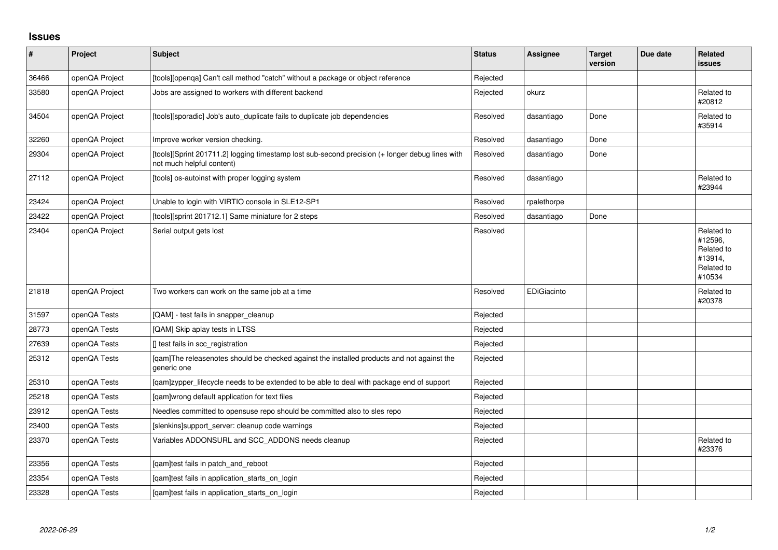## **Issues**

| $\pmb{\#}$ | Project        | <b>Subject</b>                                                                                                               | <b>Status</b> | <b>Assignee</b> | <b>Target</b><br>version | Due date | Related<br>issues                                                      |
|------------|----------------|------------------------------------------------------------------------------------------------------------------------------|---------------|-----------------|--------------------------|----------|------------------------------------------------------------------------|
| 36466      | openQA Project | [tools][openqa] Can't call method "catch" without a package or object reference                                              | Rejected      |                 |                          |          |                                                                        |
| 33580      | openQA Project | Jobs are assigned to workers with different backend                                                                          | Rejected      | okurz           |                          |          | Related to<br>#20812                                                   |
| 34504      | openQA Project | [tools][sporadic] Job's auto_duplicate fails to duplicate job dependencies                                                   | Resolved      | dasantiago      | Done                     |          | Related to<br>#35914                                                   |
| 32260      | openQA Project | Improve worker version checking.                                                                                             | Resolved      | dasantiago      | Done                     |          |                                                                        |
| 29304      | openQA Project | [tools][Sprint 201711.2] logging timestamp lost sub-second precision (+ longer debug lines with<br>not much helpful content) | Resolved      | dasantiago      | Done                     |          |                                                                        |
| 27112      | openQA Project | [tools] os-autoinst with proper logging system                                                                               | Resolved      | dasantiago      |                          |          | Related to<br>#23944                                                   |
| 23424      | openQA Project | Unable to login with VIRTIO console in SLE12-SP1                                                                             | Resolved      | rpalethorpe     |                          |          |                                                                        |
| 23422      | openQA Project | [tools][sprint 201712.1] Same miniature for 2 steps                                                                          | Resolved      | dasantiago      | Done                     |          |                                                                        |
| 23404      | openQA Project | Serial output gets lost                                                                                                      | Resolved      |                 |                          |          | Related to<br>#12596,<br>Related to<br>#13914,<br>Related to<br>#10534 |
| 21818      | openQA Project | Two workers can work on the same job at a time                                                                               | Resolved      | EDiGiacinto     |                          |          | Related to<br>#20378                                                   |
| 31597      | openQA Tests   | [QAM] - test fails in snapper cleanup                                                                                        | Rejected      |                 |                          |          |                                                                        |
| 28773      | openQA Tests   | [QAM] Skip aplay tests in LTSS                                                                                               | Rejected      |                 |                          |          |                                                                        |
| 27639      | openQA Tests   | [] test fails in scc registration                                                                                            | Rejected      |                 |                          |          |                                                                        |
| 25312      | openQA Tests   | [qam]The releasenotes should be checked against the installed products and not against the<br>generic one                    | Rejected      |                 |                          |          |                                                                        |
| 25310      | openQA Tests   | [gam]zypper_lifecycle needs to be extended to be able to deal with package end of support                                    | Rejected      |                 |                          |          |                                                                        |
| 25218      | openQA Tests   | [qam]wrong default application for text files                                                                                | Rejected      |                 |                          |          |                                                                        |
| 23912      | openQA Tests   | Needles committed to opensuse repo should be committed also to sles repo                                                     | Rejected      |                 |                          |          |                                                                        |
| 23400      | openQA Tests   | [slenkins]support server: cleanup code warnings                                                                              | Rejected      |                 |                          |          |                                                                        |
| 23370      | openQA Tests   | Variables ADDONSURL and SCC_ADDONS needs cleanup                                                                             | Rejected      |                 |                          |          | Related to<br>#23376                                                   |
| 23356      | openQA Tests   | [qam]test fails in patch_and_reboot                                                                                          | Rejected      |                 |                          |          |                                                                        |
| 23354      | openQA Tests   | [qam]test fails in application_starts_on_login                                                                               | Rejected      |                 |                          |          |                                                                        |
| 23328      | openQA Tests   | [qam]test fails in application_starts_on_login                                                                               | Rejected      |                 |                          |          |                                                                        |